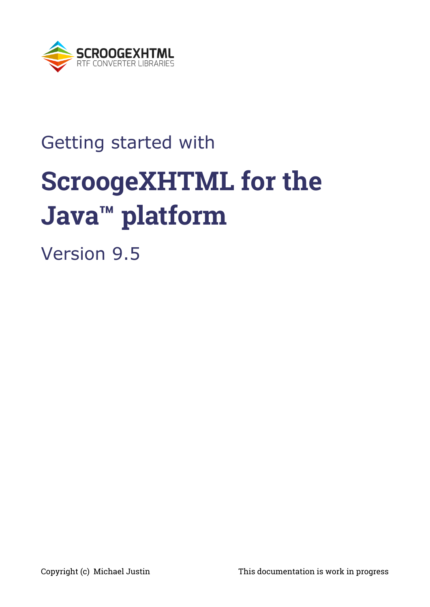

# Getting started with

# **ScroogeXHTML for the Java™ platform**

Version 9.5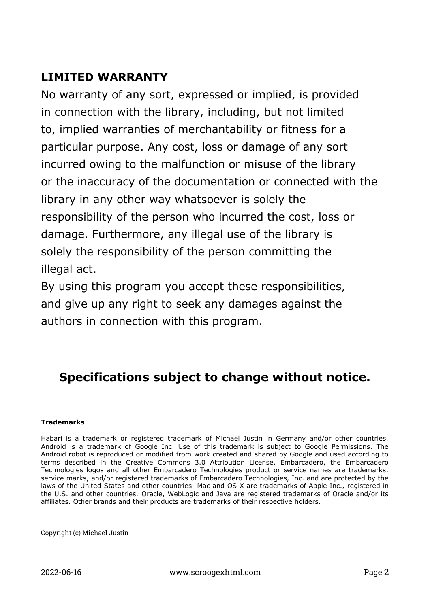### **LIMITED WARRANTY**

No warranty of any sort, expressed or implied, is provided in connection with the library, including, but not limited to, implied warranties of merchantability or fitness for a particular purpose. Any cost, loss or damage of any sort incurred owing to the malfunction or misuse of the library or the inaccuracy of the documentation or connected with the library in any other way whatsoever is solely the responsibility of the person who incurred the cost, loss or damage. Furthermore, any illegal use of the library is solely the responsibility of the person committing the illegal act.

By using this program you accept these responsibilities, and give up any right to seek any damages against the authors in connection with this program.

# **Specifications subject to change without notice.**

#### **Trademarks**

Habari is a trademark or registered trademark of Michael Justin in Germany and/or other countries. Android is a trademark of Google Inc. Use of this trademark is subject to Google Permissions. The Android robot is reproduced or modified from work created and shared by Google and used according to terms described in the Creative Commons 3.0 Attribution License. Embarcadero, the Embarcadero Technologies logos and all other Embarcadero Technologies product or service names are trademarks, service marks, and/or registered trademarks of Embarcadero Technologies, Inc. and are protected by the laws of the United States and other countries. Mac and OS X are trademarks of Apple Inc., registered in the U.S. and other countries. Oracle, WebLogic and Java are registered trademarks of Oracle and/or its affiliates. Other brands and their products are trademarks of their respective holders.

Copyright (c) Michael Justin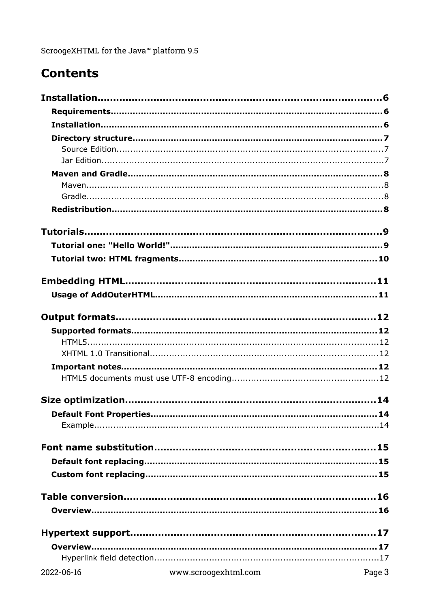ScroogeXHTML for the Java<sup>™</sup> platform 9.5

# **Contents**

| <b>Default Font Properties.</b> |                      | .14    |
|---------------------------------|----------------------|--------|
|                                 |                      |        |
|                                 |                      |        |
|                                 |                      |        |
|                                 |                      |        |
|                                 |                      |        |
|                                 |                      |        |
|                                 |                      |        |
|                                 |                      |        |
|                                 |                      |        |
|                                 |                      |        |
| 2022-06-16                      | www.scroogexhtml.com | Page 3 |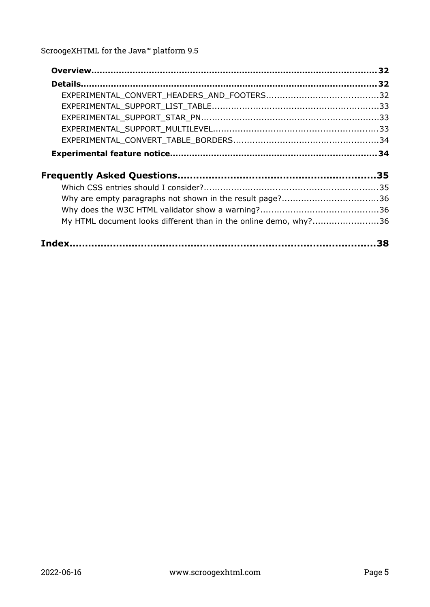| Why are empty paragraphs not shown in the result page?36         |  |
|------------------------------------------------------------------|--|
|                                                                  |  |
| My HTML document looks different than in the online demo, why?36 |  |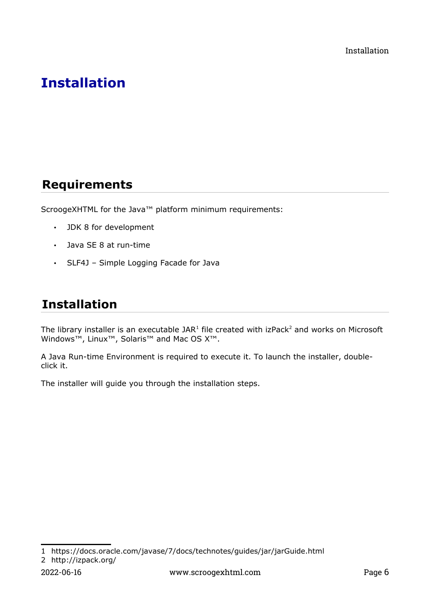Installation

# **Installation**

# **Requirements**

ScroogeXHTML for the Java™ platform minimum requirements:

- JDK 8 for development
- Java SE 8 at run-time
- <span id="page-5-2"></span>• SLF4J – Simple Logging Facade for Java

# **Installation**

<span id="page-5-0"></span>The library installer is an executable JAR<sup>[1](#page-5-1)</sup> file created with izPack<sup>[2](#page-5-3)</sup> and works on Microsoft Windows™, Linux™, Solaris™ and Mac OS X™.

A Java Run-time Environment is required to execute it. To launch the installer, doubleclick it.

The installer will guide you through the installation steps.

<span id="page-5-3"></span><span id="page-5-1"></span>[<sup>1</sup>](#page-5-0) https://docs.oracle.com/javase/7/docs/technotes/guides/jar/jarGuide.html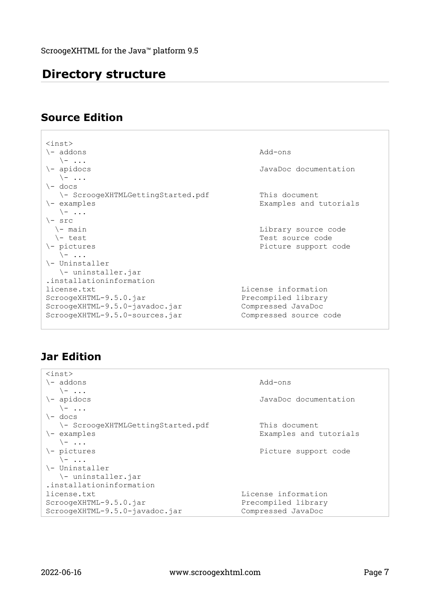# **Directory structure**

### **Source Edition**

| $\langle$ inst $\rangle$               |                        |
|----------------------------------------|------------------------|
| $\backslash$ - addons                  | Add-ons                |
| $\backslash$ -                         |                        |
| $\left\langle -\right\rangle$ apidocs  | JavaDoc documentation  |
| $\backslash -$                         |                        |
| $\left(-\right)$ docs                  |                        |
| \- ScroogeXHTMLGettingStarted.pdf      | This document          |
| $\left\langle -\right\rangle$ examples | Examples and tutorials |
| $\backslash -$                         |                        |
| $\left\langle - \right\rangle$ src     |                        |
| \- main                                | Library source code    |
| \- test                                | Test source code       |
| \- pictures                            | Picture support code   |
| $\backslash -$                         |                        |
| \- Uninstaller                         |                        |
| \- uninstaller.jar                     |                        |
| .installationinformation               |                        |
| license.txt                            | License information    |
| ScroogeXHTML-9.5.0.jar                 | Precompiled library    |
| ScroogeXHTML-9.5.0-javadoc.jar         | Compressed JavaDoc     |
| ScroogeXHTML-9.5.0-sources.jar         | Compressed source code |

### **Jar Edition**

| $\langle$ inst $\rangle$               |                        |
|----------------------------------------|------------------------|
| $\left\langle -\right\rangle$ addons   | Add-ons                |
| $\setminus$ -                          |                        |
| $\overline{}$ apidocs                  | JavaDoc documentation  |
| $\lambda$ -                            |                        |
| $\left(-\right)$ docs                  |                        |
| \- ScroogeXHTMLGettingStarted.pdf      | This document          |
| $\left\langle -\right\rangle$ examples | Examples and tutorials |
| $\backslash$ -                         |                        |
| \- pictures                            | Picture support code   |
| $\backslash -$                         |                        |
| \- Uninstaller                         |                        |
| \- uninstaller.jar                     |                        |
| .installationinformation               |                        |
| license.txt                            | License information    |
| ScroogeXHTML-9.5.0.jar                 | Precompiled library    |
| ScroogeXHTML-9.5.0-javadoc.jar         | Compressed JavaDoc     |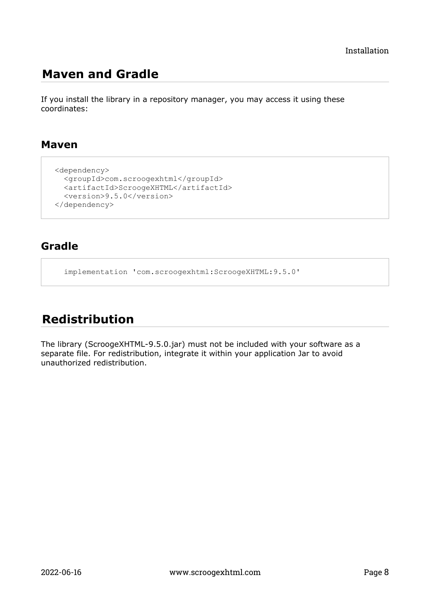# **Maven and Gradle**

If you install the library in a repository manager, you may access it using these coordinates:

#### **Maven**

```
 <dependency>
   <groupId>com.scroogexhtml</groupId>
   <artifactId>ScroogeXHTML</artifactId>
   <version>9.5.0</version>
 </dependency>
```
#### **Gradle**

implementation 'com.scroogexhtml:ScroogeXHTML:9.5.0'

### **Redistribution**

The library (ScroogeXHTML-9.5.0.jar) must not be included with your software as a separate file. For redistribution, integrate it within your application Jar to avoid unauthorized redistribution.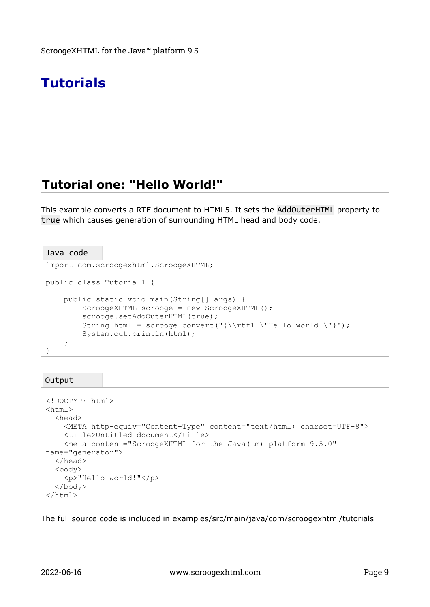# **Tutorials**

# **Tutorial one: "Hello World!"**

This example converts a RTF document to HTML5. It sets the AddOuterHTML property to true which causes generation of surrounding HTML head and body code.

#### Java code

```
import com.scroogexhtml.ScroogeXHTML;
public class Tutorial1 {
     public static void main(String[] args) {
         ScroogeXHTML scrooge = new ScroogeXHTML();
         scrooge.setAddOuterHTML(true);
        String html = scrooge.convert("{\\rtfl \"Hello world!\"}");
         System.out.println(html);
     }
}
```
#### **Output**

```
<!DOCTYPE html>
<html> <head>
     <META http-equiv="Content-Type" content="text/html; charset=UTF-8">
     <title>Untitled document</title>
    <meta content="ScroogeXHTML for the Java(tm) platform 9.5.0" 
name="generator">
   </head>
   <body>
    <p>"Hello world!"</p>
   </body>
\langle/html>
```
The full source code is included in examples/src/main/java/com/scroogexhtml/tutorials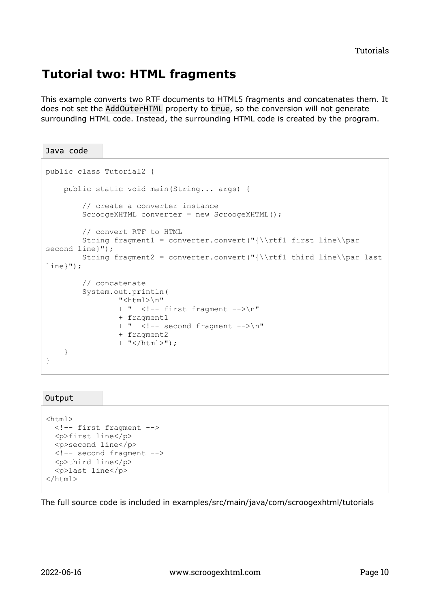### **Tutorial two: HTML fragments**

This example converts two RTF documents to HTML5 fragments and concatenates them. It does not set the AddOuterHTML property to true, so the conversion will not generate surrounding HTML code. Instead, the surrounding HTML code is created by the program.

#### Java code

```
public class Tutorial2 {
     public static void main(String... args) {
         // create a converter instance
         ScroogeXHTML converter = new ScroogeXHTML();
         // convert RTF to HTML 
         String fragment1 = converter.convert("{\\rtf1 first line\\par 
second line}");
       String fragment2 = converter.convert("{\\rtf1 third line\\par last
line}");
         // concatenate
         System.out.println(
                 "<html>\n"
                 + " <!-- first fragment -->\n"
                 + fragment1
                + " <!-- second fragment -->\n"
                 + fragment2
                + "</html>");
     }
}
```
#### **Output**

```
<html> <!-- first fragment -->
  <p>first line</p>
  <p>second line</p>
  <!-- second fragment -->
  <p>third line</p>
   <p>last line</p>
</html>
```
The full source code is included in examples/src/main/java/com/scroogexhtml/tutorials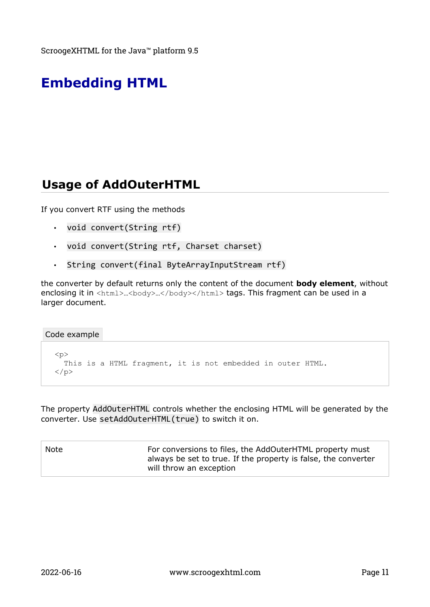# **Embedding HTML**

# <span id="page-10-0"></span>**Usage of AddOuterHTML**

If you convert RTF using the methods

- void convert(String rtf)
- void convert(String rtf, Charset charset)
- String convert(final ByteArrayInputStream rtf)

the converter by default returns only the content of the document **body element**, without enclosing it in <html>...<br/>body>...</body></html> tags. This fragment can be used in a larger document.

Code example

 $< p >$  This is a HTML fragment, it is not embedded in outer HTML.  $\langle$ /p>

The property AddOuterHTML controls whether the enclosing HTML will be generated by the converter. Use setAddOuterHTML(true) to switch it on.

| <b>Note</b> | For conversions to files, the AddOuterHTML property must       |
|-------------|----------------------------------------------------------------|
|             | always be set to true. If the property is false, the converter |
|             | will throw an exception                                        |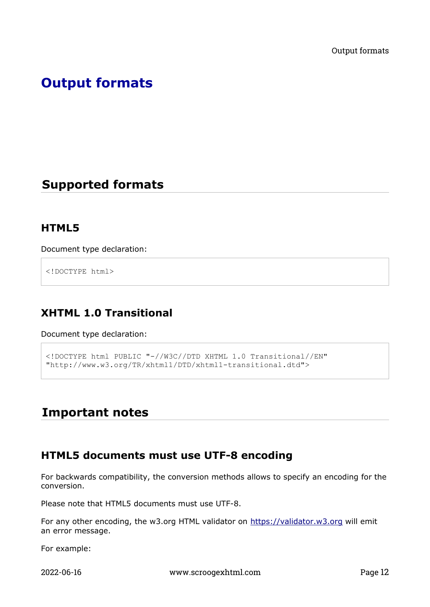Output formats

# **Output formats**

### **Supported formats**

#### **HTML5**

Document type declaration:

<!DOCTYPE html>

#### **XHTML 1.0 Transitional**

Document type declaration:

```
<!DOCTYPE html PUBLIC "-//W3C//DTD XHTML 1.0 Transitional//EN" 
"http://www.w3.org/TR/xhtml1/DTD/xhtml1-transitional.dtd">
```
### **Important notes**

#### **HTML5 documents must use UTF-8 encoding**

For backwards compatibility, the conversion methods allows to specify an encoding for the conversion.

Please note that HTML5 documents must use UTF-8.

For any other encoding, the w3.org HTML validator on [https://validator.w3.org](https://validator.w3.org/) will emit an error message.

For example: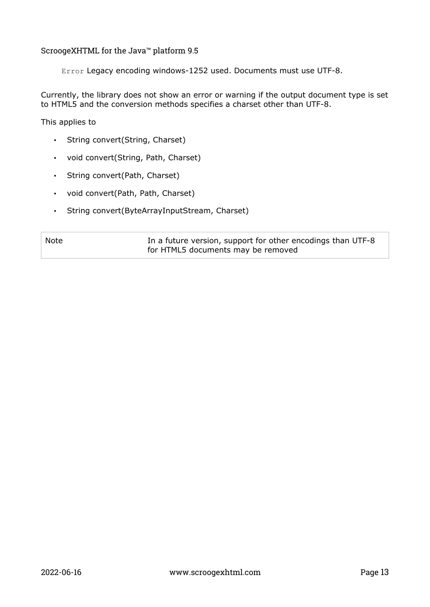Error Legacy encoding windows-1252 used. Documents must use UTF-8.

Currently, the library does not show an error or warning if the output document type is set to HTML5 and the conversion methods specifies a charset other than UTF-8.

This applies to

- String convert(String, Charset)
- void convert(String, Path, Charset)
- String convert(Path, Charset)
- void convert(Path, Path, Charset)
- String convert(ByteArrayInputStream, Charset)

| Note | In a future version, support for other encodings than UTF-8 |
|------|-------------------------------------------------------------|
|      | for HTML5 documents may be removed                          |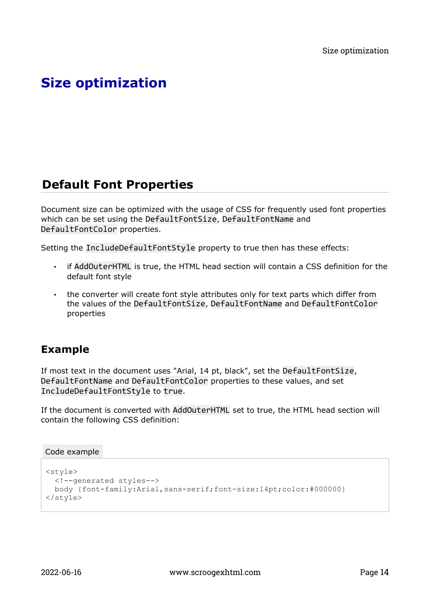Size optimization

# **Size optimization**

### **Default Font Properties**

Document size can be optimized with the usage of CSS for frequently used font properties which can be set using the DefaultFontSize, DefaultFontName and DefaultFontColor properties.

Setting the IncludeDefaultFontStyle property to true then has these effects:

- if AddOuterHTML is true, the HTML head section will contain a CSS definition for the default font style
- the converter will create font style attributes only for text parts which differ from the values of the DefaultFontSize, DefaultFontName and DefaultFontColor properties

#### **Example**

If most text in the document uses "Arial, 14 pt, black", set the DefaultFontSize, DefaultFontName and DefaultFontColor properties to these values, and set IncludeDefaultFontStyle to true.

If the document is converted with AddOuterHTML set to true, the HTML head section will contain the following CSS definition:

Code example

```
<style>
  <!--generated styles-->
  body {font-family:Arial,sans-serif;font-size:14pt;color:#000000}
</style>
```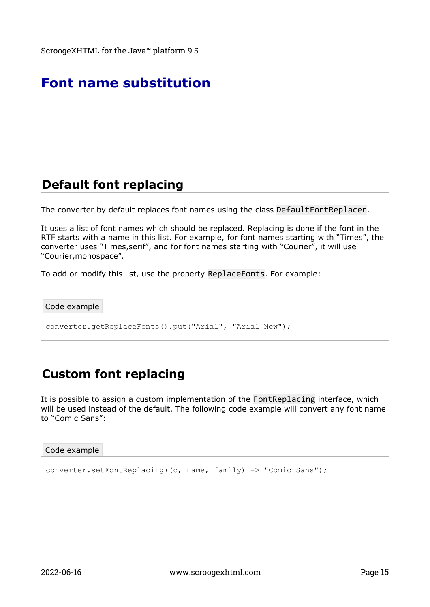# **Font name substitution**

### **Default font replacing**

The converter by default replaces font names using the class DefaultFontReplacer.

It uses a list of font names which should be replaced. Replacing is done if the font in the RTF starts with a name in this list. For example, for font names starting with "Times", the converter uses "Times,serif", and for font names starting with "Courier", it will use "Courier,monospace".

To add or modify this list, use the property ReplaceFonts. For example:

Code example

converter.getReplaceFonts().put("Arial", "Arial New");

#### **Custom font replacing**

It is possible to assign a custom implementation of the FontReplacing interface, which will be used instead of the default. The following code example will convert any font name to "Comic Sans":

Code example

converter.setFontReplacing((c, name, family) -> "Comic Sans");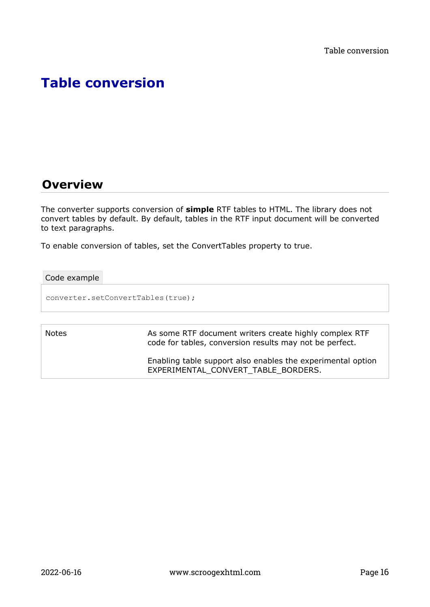# **Table conversion**

#### **Overview**

The converter supports conversion of **simple** RTF tables to HTML. The library does not convert tables by default. By default, tables in the RTF input document will be converted to text paragraphs.

To enable conversion of tables, set the ConvertTables property to true.

#### Code example

converter.setConvertTables(true);

Notes Motes As some RTF document writers create highly complex RTF code for tables, conversion results may not be perfect.

> Enabling table support also enables the experimental option EXPERIMENTAL\_CONVERT\_TABLE\_BORDERS.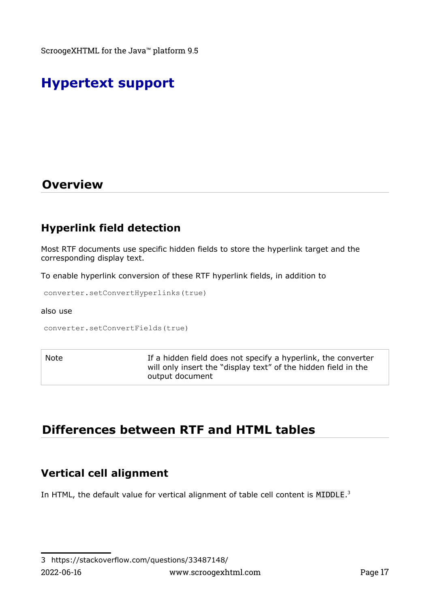# **Hypertext support**

#### **Overview**

#### **Hyperlink field detection**

Most RTF documents use specific hidden fields to store the hyperlink target and the corresponding display text.

To enable hyperlink conversion of these RTF hyperlink fields, in addition to

converter.setConvertHyperlinks(true)

also use

converter.setConvertFields(true)

| <b>Note</b> | If a hidden field does not specify a hyperlink, the converter                     |
|-------------|-----------------------------------------------------------------------------------|
|             | will only insert the "display text" of the hidden field in the<br>output document |

### **Differences between RTF and HTML tables**

#### **Vertical cell alignment**

<span id="page-16-0"></span>In HTML, the default value for vertical alignment of table cell content is MIDDLE.<sup>[3](#page-16-1)</sup>

<span id="page-16-1"></span>[<sup>3</sup>](#page-16-0) https://stackoverflow.com/questions/33487148/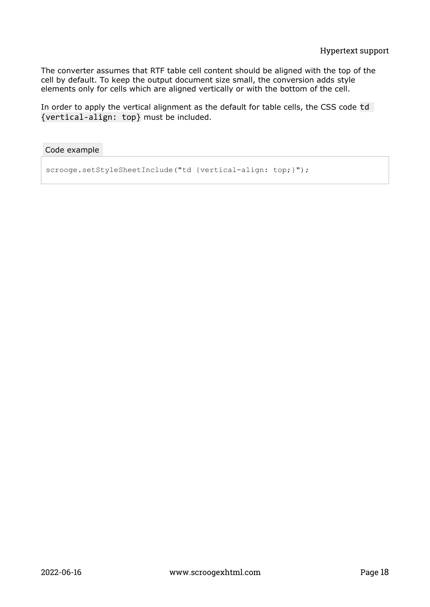The converter assumes that RTF table cell content should be aligned with the top of the cell by default. To keep the output document size small, the conversion adds style elements only for cells which are aligned vertically or with the bottom of the cell.

In order to apply the vertical alignment as the default for table cells, the CSS code td {vertical-align: top} must be included.

Code example

scrooge.setStyleSheetInclude("td {vertical-align: top;}");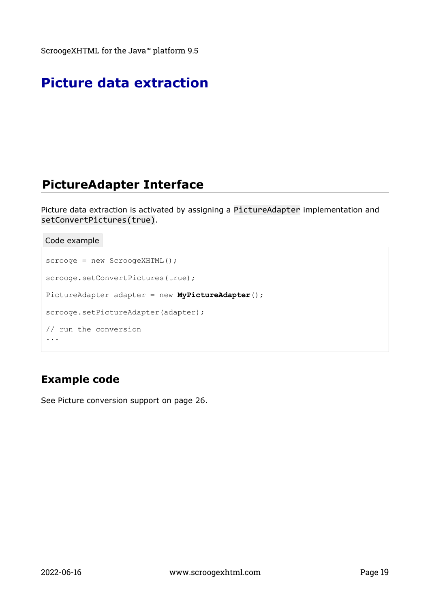# **Picture data extraction**

# **PictureAdapter Interface**

Picture data extraction is activated by assigning a PictureAdapter implementation and setConvertPictures(true).

#### Code example

```
scrooge = new ScroogeXHTML();
scrooge.setConvertPictures(true);
PictureAdapter adapter = new MyPictureAdapter();
scrooge.setPictureAdapter(adapter);
// run the conversion
...
```
#### **Example code**

See [Picture conversion support](#page-25-0) on page [26.](#page-25-0)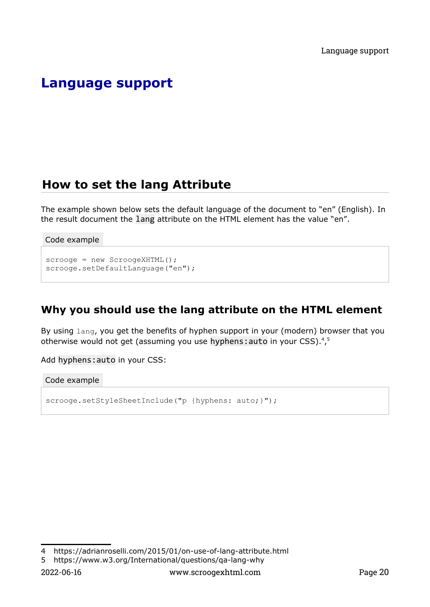# **Language support**

### **How to set the lang Attribute**

The example shown below sets the default language of the document to "en" (English). In the result document the lang attribute on the HTML element has the value "en".

Code example

```
scrooge = new ScroogeXHTML();
scrooge.setDefaultLanguage("en");
```
#### **Why you should use the lang attribute on the HTML element**

By using lang, you get the benefits of hyphen support in your (modern) browser that you otherwise would not get (assuming you use hyphens: auto in your CSS).<sup>[4](#page-19-1)</sup>,<sup>[5](#page-19-3)</sup>

Add hyphens:auto in your CSS:

<span id="page-19-2"></span><span id="page-19-0"></span>Code example

scrooge.setStyleSheetInclude("p {hyphens: auto; }");

<span id="page-19-1"></span>[<sup>4</sup>](#page-19-0) https://adrianroselli.com/2015/01/on-use-of-lang-attribute.html

<span id="page-19-3"></span>[<sup>5</sup>](#page-19-2) https://www.w3.org/International/questions/qa-lang-why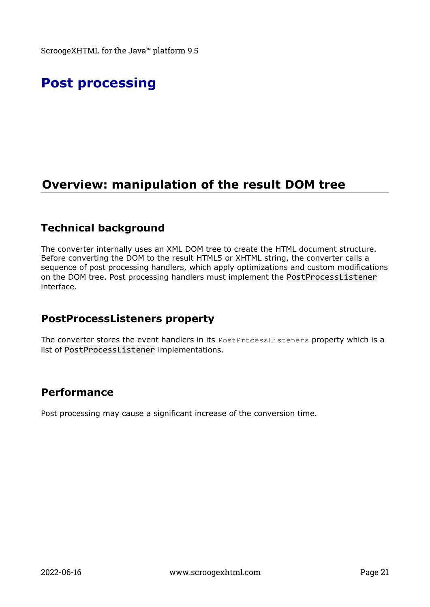# **Post processing**

### **Overview: manipulation of the result DOM tree**

#### **Technical background**

The converter internally uses an XML DOM tree to create the HTML document structure. Before converting the DOM to the result HTML5 or XHTML string, the converter calls a sequence of post processing handlers, which apply optimizations and custom modifications on the DOM tree. Post processing handlers must implement the PostProcessListener interface.

#### **PostProcessListeners property**

The converter stores the event handlers in its PostProcessListeners property which is a list of PostProcessListener implementations.

#### **Performance**

Post processing may cause a significant increase of the conversion time.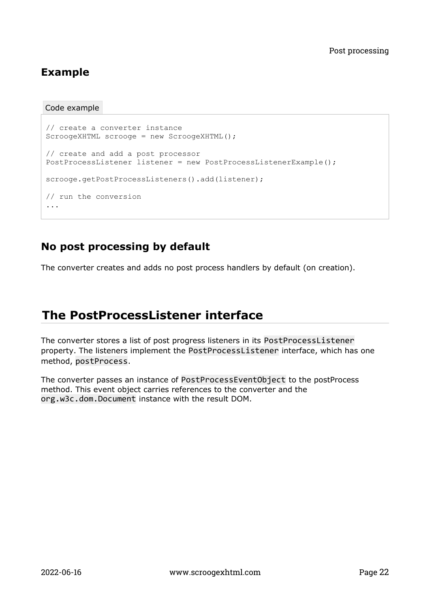#### **Example**

Code example

```
// create a converter instance
ScroogeXHTML scrooge = new ScroogeXHTML();
// create and add a post processor
PostProcessListener listener = new PostProcessListenerExample();
scrooge.getPostProcessListeners().add(listener);
// run the conversion
...
```
#### **No post processing by default**

The converter creates and adds no post process handlers by default (on creation).

### **The PostProcessListener interface**

The converter stores a list of post progress listeners in its PostProcessListener property. The listeners implement the PostProcessListener interface, which has one method, postProcess.

The converter passes an instance of PostProcessEventObject to the postProcess method. This event object carries references to the converter and the org.w3c.dom.Document instance with the result DOM.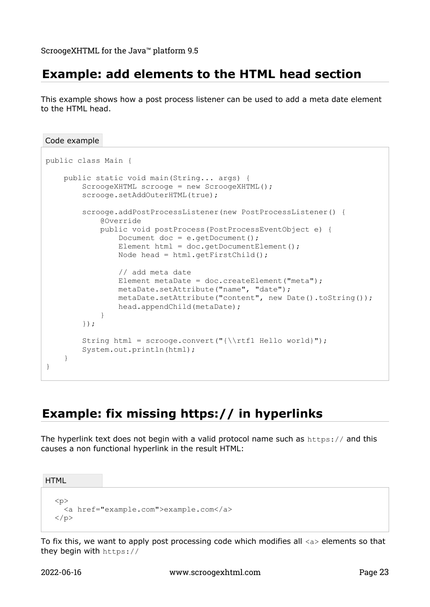### **Example: add elements to the HTML head section**

This example shows how a post process listener can be used to add a meta date element to the HTML head.

```
Code example
public class Main {
     public static void main(String... args) {
         ScroogeXHTML scrooge = new ScroogeXHTML();
         scrooge.setAddOuterHTML(true);
         scrooge.addPostProcessListener(new PostProcessListener() {
             @Override
             public void postProcess(PostProcessEventObject e) {
                Document doc = e.getDocument();
                Element html = doc.getDocumentElement();
                Node head = html.getFirstChild();
                 // add meta date
                 Element metaDate = doc.createElement("meta");
                 metaDate.setAttribute("name", "date");
                metaDate.setAttribute("content", new Date().toString());
                 head.appendChild(metaDate);
 }
         });
         String html = scrooge.convert("{\\rtf1 Hello world}");
         System.out.println(html);
     }
}
```
# **Example: fix missing https:// in hyperlinks**

The hyperlink text does not begin with a valid protocol name such as  $https://and this$ causes a non functional hyperlink in the result HTML:

```
HTML
```

```
< p > <a href="example.com">example.com</a>
\langle/p>
```
To fix this, we want to apply post processing code which modifies all  $\langle a \rangle$  elements so that they begin with https://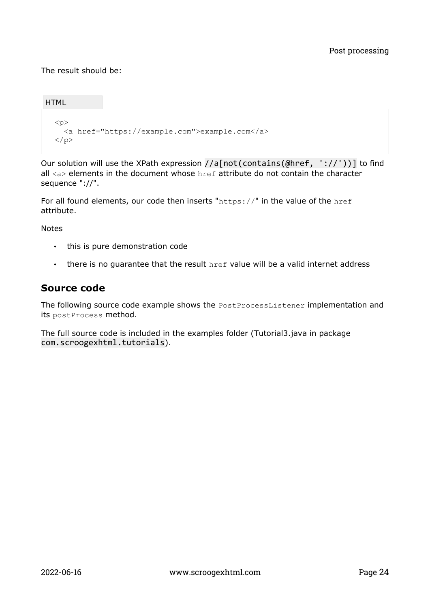#### The result should be:

```
HTML
  p <a href="https://example.com">example.com</a>
  \langle p \rangle
```
Our solution will use the XPath expression //a[not(contains(@href, '://'))] to find all <a> elements in the document whose href attribute do not contain the character sequence "://".

For all found elements, our code then inserts "https://" in the value of the href attribute.

Notes

- this is pure demonstration code
- there is no guarantee that the result href value will be a valid internet address

#### **Source code**

The following source code example shows the PostProcessListener implementation and its postProcess method.

The full source code is included in the examples folder (Tutorial3.java in package com.scroogexhtml.tutorials).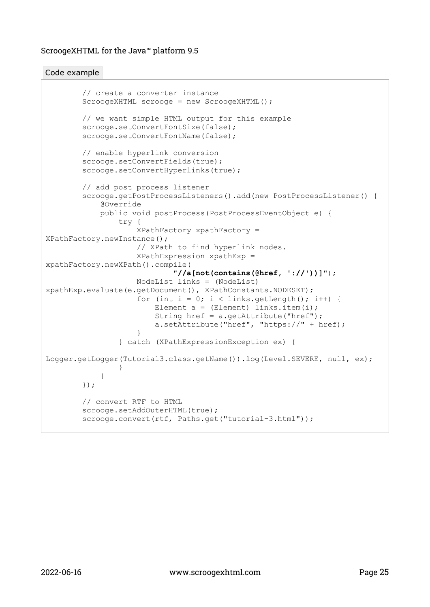#### Code example

```
 // create a converter instance
         ScroogeXHTML scrooge = new ScroogeXHTML();
         // we want simple HTML output for this example
         scrooge.setConvertFontSize(false);
         scrooge.setConvertFontName(false);
         // enable hyperlink conversion
         scrooge.setConvertFields(true);
         scrooge.setConvertHyperlinks(true);
         // add post process listener
         scrooge.getPostProcessListeners().add(new PostProcessListener() {
             @Override
            public void postProcess(PostProcessEventObject e) {
                 try {
                     XPathFactory xpathFactory = 
XPathFactory.newInstance();
                     // XPath to find hyperlink nodes.
                     XPathExpression xpathExp = 
xpathFactory.newXPath().compile(
                             "//a[not(contains(@href, '://'))]");
                     NodeList links = (NodeList) 
xpathExp.evaluate(e.getDocument(), XPathConstants.NODESET);
                    for (int i = 0; i < links.getLength(); i++) {
                        Element a = (Element) links.item(i);
                         String href = a.getAttribute("href");
                         a.setAttribute("href", "https://" + href);
 }
                 } catch (XPathExpressionException ex) {
Logger.getLogger(Tutorial3.class.getName()).log(Level.SEVERE, null, ex);
 }
 }
         });
         // convert RTF to HTML
         scrooge.setAddOuterHTML(true);
        scrooge.convert(rtf, Paths.get("tutorial-3.html"));
```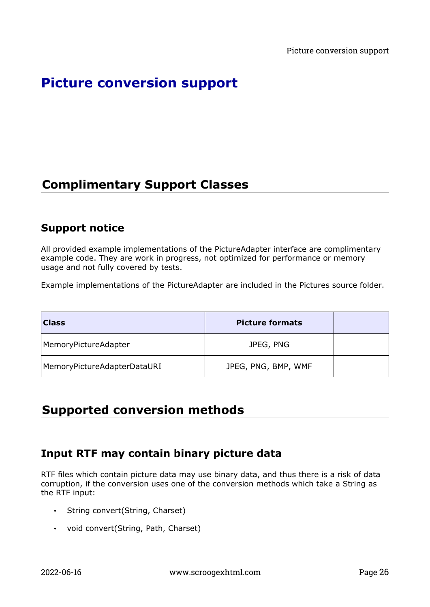# <span id="page-25-0"></span>**Picture conversion support**

### **Complimentary Support Classes**

#### **Support notice**

All provided example implementations of the PictureAdapter interface are complimentary example code. They are work in progress, not optimized for performance or memory usage and not fully covered by tests.

Example implementations of the PictureAdapter are included in the Pictures source folder.

| <b>Class</b>                | <b>Picture formats</b> |  |
|-----------------------------|------------------------|--|
| MemoryPictureAdapter        | JPEG, PNG              |  |
| MemoryPictureAdapterDataURI | JPEG, PNG, BMP, WMF    |  |

### **Supported conversion methods**

#### **Input RTF may contain binary picture data**

RTF files which contain picture data may use binary data, and thus there is a risk of data corruption, if the conversion uses one of the conversion methods which take a String as the RTF input:

- String convert(String, Charset)
- void convert(String, Path, Charset)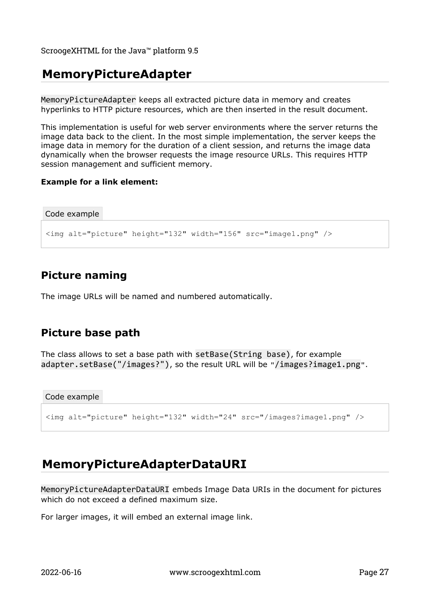### **MemoryPictureAdapter**

MemoryPictureAdapter keeps all extracted picture data in memory and creates hyperlinks to HTTP picture resources, which are then inserted in the result document.

This implementation is useful for web server environments where the server returns the image data back to the client. In the most simple implementation, the server keeps the image data in memory for the duration of a client session, and returns the image data dynamically when the browser requests the image resource URLs. This requires HTTP session management and sufficient memory.

#### **Example for a link element:**

Code example

```
<img alt="picture" height="132" width="156" src="image1.png" />
```
#### **Picture naming**

The image URLs will be named and numbered automatically.

#### **Picture base path**

The class allows to set a base path with setBase(String base), for example adapter.setBase("/images?"), so the result URL will be "/images?image1.png".

Code example

<img alt="picture" height="132" width="24" src="/images?image1.png" />

### <span id="page-26-0"></span>**MemoryPictureAdapterDataURI**

MemoryPictureAdapterDataURI embeds Image Data URIs in the document for pictures which do not exceed a defined maximum size.

For larger images, it will embed an external image link.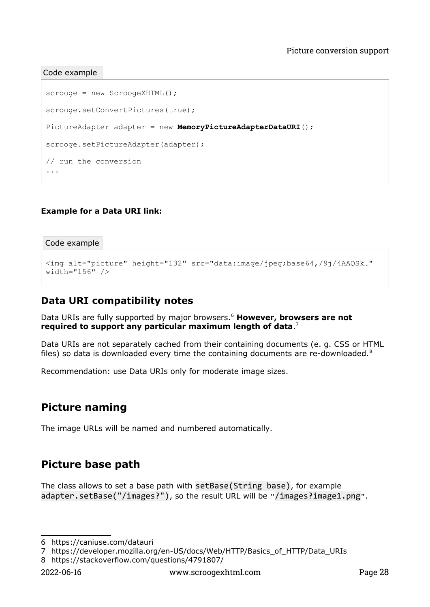#### Code example

```
scrooge = new ScroogeXHTML();
scrooge.setConvertPictures(true);
PictureAdapter adapter = new MemoryPictureAdapterDataURI();
scrooge.setPictureAdapter(adapter);
// run the conversion
...
```
#### **Example for a Data URI link:**

Code example

```
<img alt="picture" height="132" src="data:image/jpeg;base64,/9j/4AAQSk…" 
width="156" />
```
#### **Data URI compatibility notes**

<span id="page-27-2"></span><span id="page-27-0"></span>Data URIs are fully supported by major browsers.[6](#page-27-1) **However, browsers are not required to support any particular maximum length of data**. [7](#page-27-3)

<span id="page-27-4"></span>Data URIs are not separately cached from their containing documents (e. g. CSS or HTML files) so data is downloaded every time the containing documents are re-downloaded.<sup>[8](#page-27-5)</sup>

Recommendation: use Data URIs only for moderate image sizes.

#### **Picture naming**

The image URLs will be named and numbered automatically.

#### **Picture base path**

The class allows to set a base path with setBase(String base), for example adapter.setBase("/images?"), so the result URL will be "/images?image1.png".

<span id="page-27-1"></span>[<sup>6</sup>](#page-27-0) https://caniuse.com/datauri

<span id="page-27-3"></span>[<sup>7</sup>](#page-27-2) https://developer.mozilla.org/en-US/docs/Web/HTTP/Basics\_of\_HTTP/Data\_URIs

<span id="page-27-5"></span>[<sup>8</sup>](#page-27-4) https://stackoverflow.com/questions/4791807/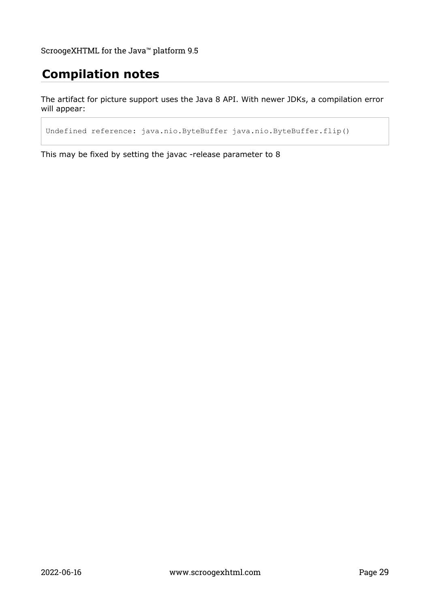# **Compilation notes**

The artifact for picture support uses the Java 8 API. With newer JDKs, a compilation error will appear:

```
Undefined reference: java.nio.ByteBuffer java.nio.ByteBuffer.flip()
```
This may be fixed by setting the javac -release parameter to 8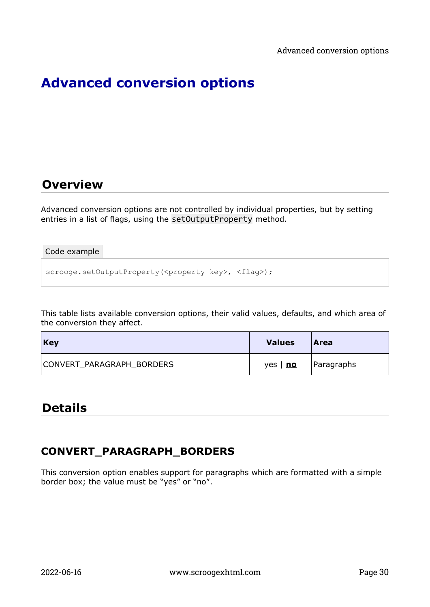# **Advanced conversion options**

### **Overview**

Advanced conversion options are not controlled by individual properties, but by setting entries in a list of flags, using the setOutputProperty method.

#### Code example

```
scrooge.setOutputProperty(<property key>, <flag>);
```
This table lists available conversion options, their valid values, defaults, and which area of the conversion they affect.

| <b>Key</b>                | <b>Values</b> | Area       |
|---------------------------|---------------|------------|
| CONVERT_PARAGRAPH_BORDERS | yes   no      | Paragraphs |

### **Details**

#### **CONVERT\_PARAGRAPH\_BORDERS**

This conversion option enables support for paragraphs which are formatted with a simple border box; the value must be "yes" or "no".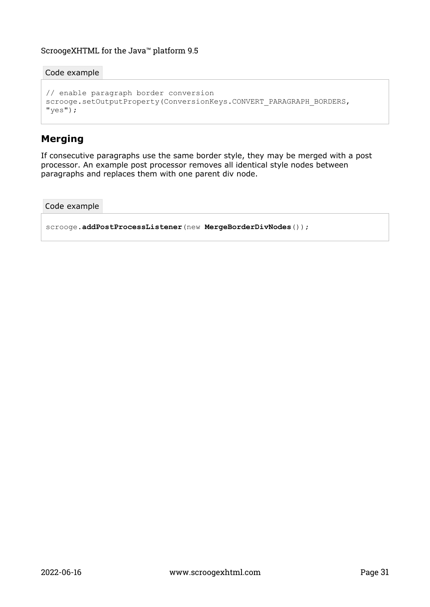#### Code example

```
// enable paragraph border conversion
scrooge.setOutputProperty(ConversionKeys.CONVERT PARAGRAPH_BORDERS,
"yes");
```
#### **Merging**

If consecutive paragraphs use the same border style, they may be merged with a post processor. An example post processor removes all identical style nodes between paragraphs and replaces them with one parent div node.

Code example

scrooge.**addPostProcessListener**(new **MergeBorderDivNodes**());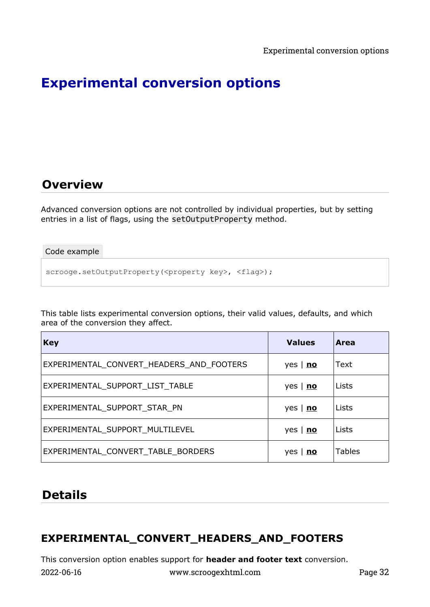# **Experimental conversion options**

### **Overview**

Advanced conversion options are not controlled by individual properties, but by setting entries in a list of flags, using the setOutputProperty method.

Code example

```
scrooge.setOutputProperty(<property key>, <flag>);
```
This table lists experimental conversion options, their valid values, defaults, and which area of the conversion they affect.

| <b>Key</b>                               | <b>Values</b> | Area          |
|------------------------------------------|---------------|---------------|
| EXPERIMENTAL_CONVERT_HEADERS_AND_FOOTERS | yes   no      | Text          |
| EXPERIMENTAL_SUPPORT_LIST_TABLE          | yes   no      | Lists         |
| EXPERIMENTAL_SUPPORT_STAR_PN             | yes   no      | Lists         |
| EXPERIMENTAL_SUPPORT_MULTILEVEL          | yes   no      | Lists         |
| EXPERIMENTAL CONVERT TABLE BORDERS       | yes   no      | <b>Tables</b> |

### **Details**

#### **EXPERIMENTAL\_CONVERT\_HEADERS\_AND\_FOOTERS**

This conversion option enables support for **header and footer text** conversion. 2022-06-16 www.scroogexhtml.com Page 32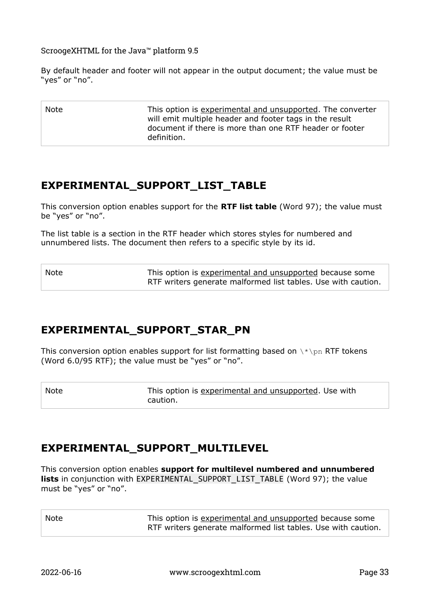By default header and footer will not appear in the output document; the value must be "yes" or "no".

| Note | This option is experimental and unsupported. The converter                                                                        |
|------|-----------------------------------------------------------------------------------------------------------------------------------|
|      | will emit multiple header and footer tags in the result<br>document if there is more than one RTF header or footer<br>definition. |

#### **EXPERIMENTAL\_SUPPORT\_LIST\_TABLE**

This conversion option enables support for the **RTF list table** (Word 97); the value must be "yes" or "no".

The list table is a section in the RTF header which stores styles for numbered and unnumbered lists. The document then refers to a specific style by its id.

Note This option is experimental and unsupported because some RTF writers generate malformed list tables. Use with caution.

#### **EXPERIMENTAL\_SUPPORT\_STAR\_PN**

This conversion option enables support for list formatting based on  $\setminus\$  \pn RTF tokens (Word 6.0/95 RTF); the value must be "yes" or "no".

| Note | This option is experimental and unsupported. Use with |
|------|-------------------------------------------------------|
|      | caution.                                              |

#### **EXPERIMENTAL\_SUPPORT\_MULTILEVEL**

This conversion option enables **support for multilevel numbered and unnumbered lists** in conjunction with EXPERIMENTAL SUPPORT LIST TABLE (Word 97); the value must be "yes" or "no".

| Note | This option is experimental and unsupported because some      |
|------|---------------------------------------------------------------|
|      | RTF writers generate malformed list tables. Use with caution. |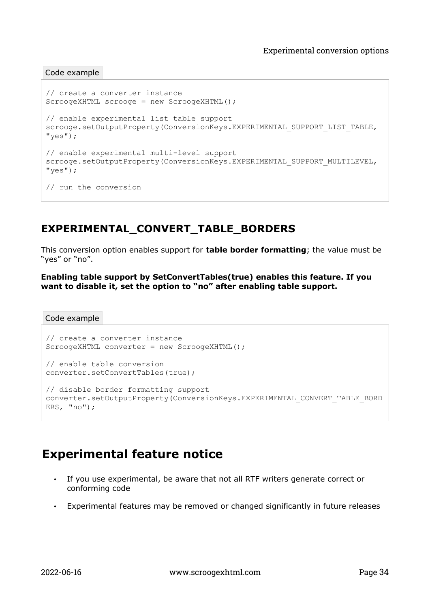#### Code example

```
// create a converter instance
ScroogeXHTML scrooge = new ScroogeXHTML();
// enable experimental list table support
scrooge.setOutputProperty(ConversionKeys.EXPERIMENTAL_SUPPORT_LIST_TABLE,
"yes");
// enable experimental multi-level support
scrooge.setOutputProperty(ConversionKeys.EXPERIMENTAL_SUPPORT_MULTILEVEL,
"yes");
// run the conversion
```
#### **EXPERIMENTAL\_CONVERT\_TABLE\_BORDERS**

This conversion option enables support for **table border formatting**; the value must be "yes" or "no".

**Enabling table support by SetConvertTables(true) enables this feature. If you want to disable it, set the option to "no" after enabling table support.**

Code example

```
// create a converter instance
ScroogeXHTML converter = new ScroogeXHTML();
```

```
// enable table conversion
converter.setConvertTables(true);
```

```
// disable border formatting support
converter.setOutputProperty(ConversionKeys.EXPERIMENTAL_CONVERT_TABLE_BORD
ERS, "no");
```
### **Experimental feature notice**

- If you use experimental, be aware that not all RTF writers generate correct or conforming code
- Experimental features may be removed or changed significantly in future releases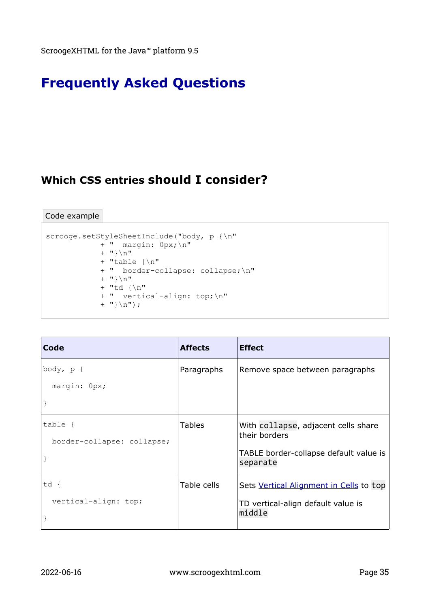# **Frequently Asked Questions**

### **Which CSS entries should I consider?**

#### Code example

```
scrooge.setStyleSheetInclude("body, p {\n"
            + " margin: 0px;\n"
            + "} \n"
             + "table {\n"
             + " border-collapse: collapse;\n"
            + "} \n"
             + "td {\n"
             + " vertical-align: top;\n"
            + "}\n");
```

| Code                       | <b>Affects</b> | <b>Effect</b>                                      |
|----------------------------|----------------|----------------------------------------------------|
| body, $p \{$               | Paragraphs     | Remove space between paragraphs                    |
| margin: 0px;               |                |                                                    |
|                            |                |                                                    |
| table {                    | <b>Tables</b>  | With collapse, adjacent cells share                |
| border-collapse: collapse; |                | their borders                                      |
|                            |                | TABLE border-collapse default value is<br>separate |
| td {                       | Table cells    | Sets Vertical Alignment in Cells to top            |
| vertical-align: top;       |                | TD vertical-align default value is<br>middle       |
|                            |                |                                                    |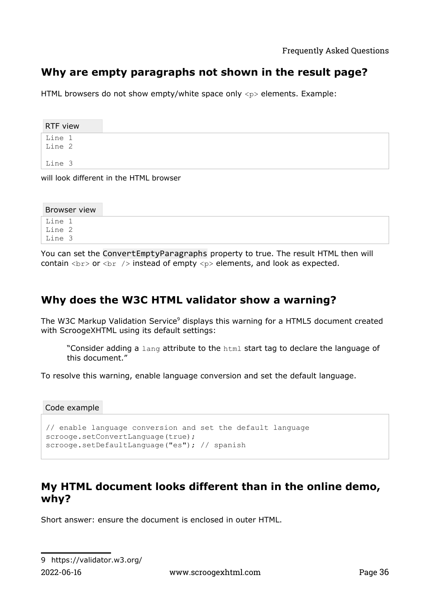#### **Why are empty paragraphs not shown in the result page?**

HTML browsers do not show empty/white space only  $\langle p \rangle$  elements. Example:

| <b>RTF</b> view  |  |  |
|------------------|--|--|
| Line 1<br>Line 2 |  |  |
|                  |  |  |
| Line 3           |  |  |

will look different in the HTML browser

| <b>Browser view</b> |  |
|---------------------|--|
| Line 1              |  |
| Line 2              |  |
| Line 3              |  |

You can set the ConvertEmptyParagraphs property to true. The result HTML then will contain  $\langle$ br  $\rangle$  or  $\langle$ br  $\rangle$  instead of empty  $\langle$ p $\rangle$  elements, and look as expected.

#### **Why does the W3C HTML validator show a warning?**

The W3C Markup Validation Service<sup>[9](#page-35-1)</sup> displays this warning for a HTML5 document created with ScroogeXHTML using its default settings:

<span id="page-35-0"></span>"Consider adding a lang attribute to the html start tag to declare the language of this document."

To resolve this warning, enable language conversion and set the default language.

Code example

```
// enable language conversion and set the default language
scrooge.setConvertLanguage(true);
scrooge.setDefaultLanguage("es"); // spanish
```
#### **My HTML document looks different than in the online demo, why?**

<span id="page-35-1"></span>Short answer: ensure the document is enclosed in outer HTML.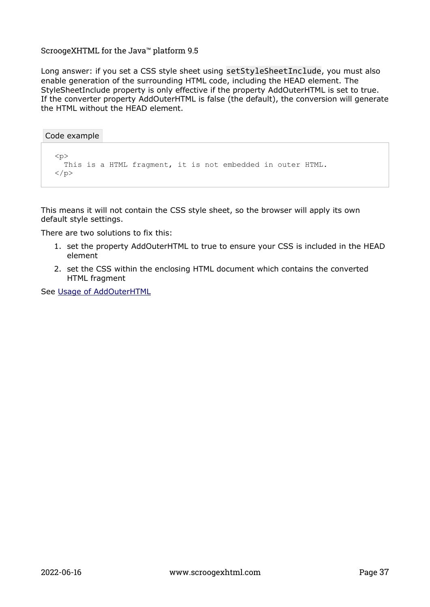Long answer: if you set a CSS style sheet using setStyleSheetInclude, you must also enable generation of the surrounding HTML code, including the HEAD element. The StyleSheetInclude property is only effective if the property AddOuterHTML is set to true. If the converter property AddOuterHTML is false (the default), the conversion will generate the HTML without the HEAD element.

Code example  $< p >$  This is a HTML fragment, it is not embedded in outer HTML.  $\langle$ /p>

This means it will not contain the CSS style sheet, so the browser will apply its own default style settings.

There are two solutions to fix this:

- 1. set the property AddOuterHTML to true to ensure your CSS is included in the HEAD element
- 2. set the CSS within the enclosing HTML document which contains the converted HTML fragment

See [Usage of AddOuterHTML](#page-10-0)